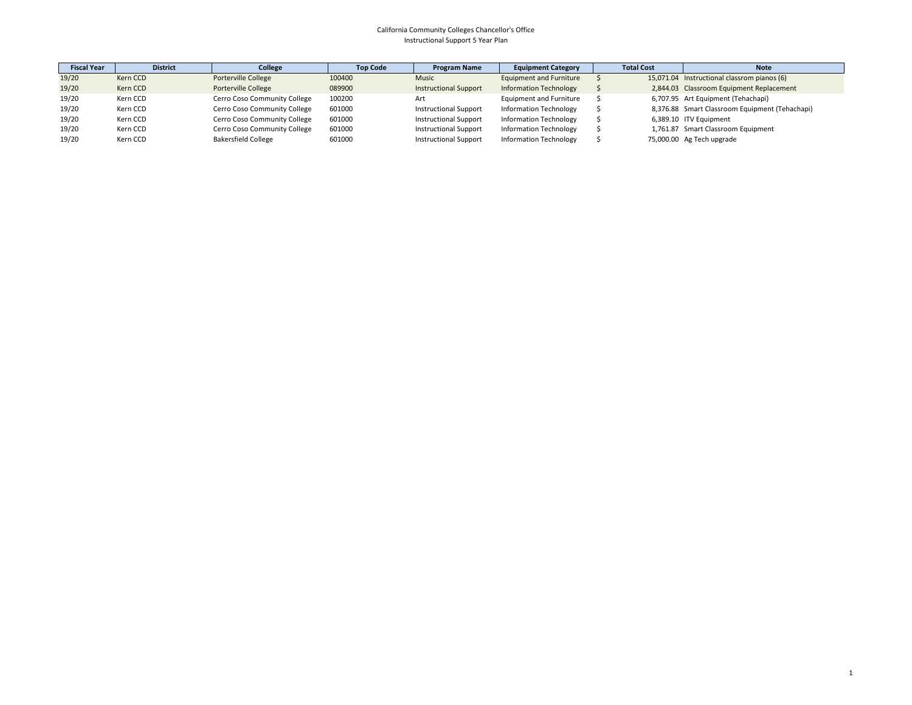| <b>Fiscal Year</b> | <b>District</b> | College                      | <b>Top Code</b> | <b>Program Name</b>          | <b>Equipment Category</b>      | <b>Total Cost</b> | <b>Note</b>                                    |
|--------------------|-----------------|------------------------------|-----------------|------------------------------|--------------------------------|-------------------|------------------------------------------------|
| 19/20              | Kern CCD        | Porterville College          | 100400          | <b>Music</b>                 | <b>Equipment and Furniture</b> |                   | 15,071.04 Instructional classrom pianos (6)    |
| 19/20              | Kern CCD        | Porterville College          | 089900          | <b>Instructional Support</b> | <b>Information Technology</b>  |                   | 2,844.03 Classroom Equipment Replacement       |
| 19/20              | Kern CCD        | Cerro Coso Community College | 100200          | Art                          | Equipment and Furniture        |                   | 6,707.95 Art Equipment (Tehachapi)             |
| 19/20              | Kern CCD        | Cerro Coso Community College | 601000          | <b>Instructional Support</b> | <b>Information Technology</b>  |                   | 8,376.88 Smart Classroom Equipment (Tehachapi) |
| 19/20              | Kern CCD        | Cerro Coso Community College | 601000          | <b>Instructional Support</b> | <b>Information Technology</b>  |                   | 6,389.10 ITV Equipment                         |
| 19/20              | Kern CCD        | Cerro Coso Community College | 601000          | <b>Instructional Support</b> | <b>Information Technology</b>  |                   | 1,761.87 Smart Classroom Equipment             |
| 19/20              | Kern CCD        | <b>Bakersfield College</b>   | 601000          | <b>Instructional Support</b> | <b>Information Technology</b>  |                   | 75,000.00 Ag Tech upgrade                      |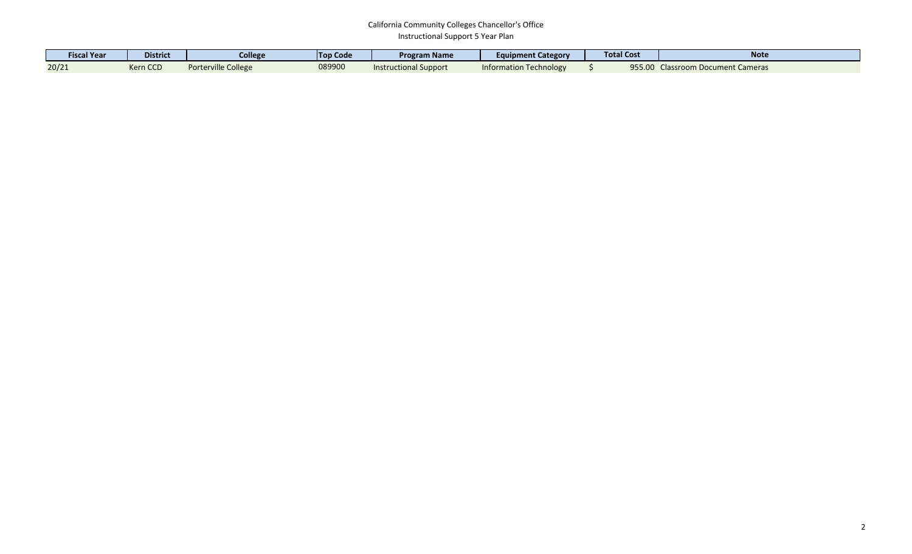| <b>Fiscal Year</b> | <b>District</b> | College             | <b>Top Code</b> | <b>Program Name</b>          | <b>Equipment Category</b> | <b>Total Cost</b> | <b>Note</b>                       |
|--------------------|-----------------|---------------------|-----------------|------------------------------|---------------------------|-------------------|-----------------------------------|
| 20/21              | Kern CCD        | Porterville College | 089900          | <b>Instructional Support</b> | Information Technology    | 955.00            | <b>Classroom Document Cameras</b> |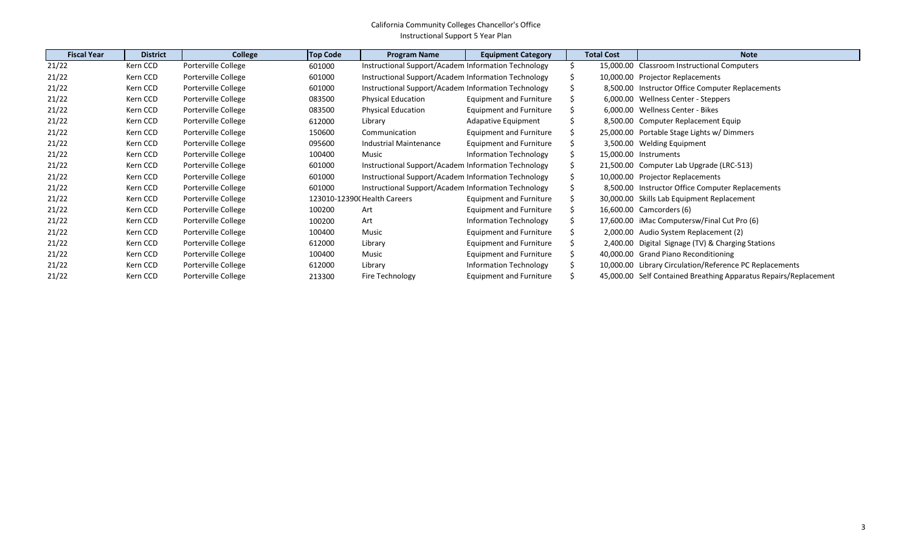| <b>Fiscal Year</b> | <b>District</b> | College             | <b>Top Code</b> | <b>Program Name</b>                                 | <b>Equipment Category</b> | <b>Total Cost</b> | <b>Note</b>                                                      |
|--------------------|-----------------|---------------------|-----------------|-----------------------------------------------------|---------------------------|-------------------|------------------------------------------------------------------|
| 21/22              | Kern CCD        | Porterville College | 601000          | Instructional Support/Academ Information Technology |                           |                   | 15,000.00 Classroom Instructional Computers                      |
| 21/22              | Kern CCD        | Porterville College | 601000          | Instructional Support/Academ Information Technology |                           |                   | 10,000.00 Projector Replacements                                 |
| 21/22              | Kern CCD        | Porterville College | 601000          | Instructional Support/Academ Information Technology |                           |                   | 8,500.00 Instructor Office Computer Replacements                 |
| 21/22              | Kern CCD        | Porterville College | 083500          | <b>Physical Education</b>                           | Equipment and Furniture   |                   | 6,000.00 Wellness Center - Steppers                              |
| 21/22              | Kern CCD        | Porterville College | 083500          | <b>Physical Education</b>                           | Equipment and Furniture   |                   | 6,000.00 Wellness Center - Bikes                                 |
| 21/22              | Kern CCD        | Porterville College | 612000          | Library                                             | Adapative Equipment       |                   | 8,500.00 Computer Replacement Equip                              |
| 21/22              | Kern CCD        | Porterville College | 150600          | Communication                                       | Equipment and Furniture   |                   | 25,000.00 Portable Stage Lights w/ Dimmers                       |
| 21/22              | Kern CCD        | Porterville College | 095600          | Industrial Maintenance                              | Equipment and Furniture   |                   | 3,500.00 Welding Equipment                                       |
| 21/22              | Kern CCD        | Porterville College | 100400          | Music                                               | Information Technology    |                   | 15,000.00 Instruments                                            |
| 21/22              | Kern CCD        | Porterville College | 601000          | Instructional Support/Academ Information Technology |                           |                   | 21,500.00 Computer Lab Upgrade (LRC-513)                         |
| 21/22              | Kern CCD        | Porterville College | 601000          | Instructional Support/Academ Information Technology |                           |                   | 10,000.00 Projector Replacements                                 |
| 21/22              | Kern CCD        | Porterville College | 601000          | Instructional Support/Academ Information Technology |                           |                   | 8,500.00 Instructor Office Computer Replacements                 |
| 21/22              | Kern CCD        | Porterville College |                 | 123010-12390(Health Careers                         | Equipment and Furniture   |                   | 30,000.00 Skills Lab Equipment Replacement                       |
| 21/22              | Kern CCD        | Porterville College | 100200          | Art                                                 | Equipment and Furniture   |                   | 16,600.00 Camcorders (6)                                         |
| 21/22              | Kern CCD        | Porterville College | 100200          | Art                                                 | Information Technology    |                   | 17,600.00 iMac Computersw/Final Cut Pro (6)                      |
| 21/22              | Kern CCD        | Porterville College | 100400          | Music                                               | Equipment and Furniture   |                   | 2,000.00 Audio System Replacement (2)                            |
| 21/22              | Kern CCD        | Porterville College | 612000          | Library                                             | Equipment and Furniture   |                   | 2,400.00 Digital Signage (TV) & Charging Stations                |
| 21/22              | Kern CCD        | Porterville College | 100400          | Music                                               | Equipment and Furniture   |                   | 40,000.00 Grand Piano Reconditioning                             |
| 21/22              | Kern CCD        | Porterville College | 612000          | Library                                             | Information Technology    |                   | 10,000.00 Library Circulation/Reference PC Replacements          |
| 21/22              | Kern CCD        | Porterville College | 213300          | Fire Technology                                     | Equipment and Furniture   |                   | 45,000.00 Self Contained Breathing Apparatus Repairs/Replacement |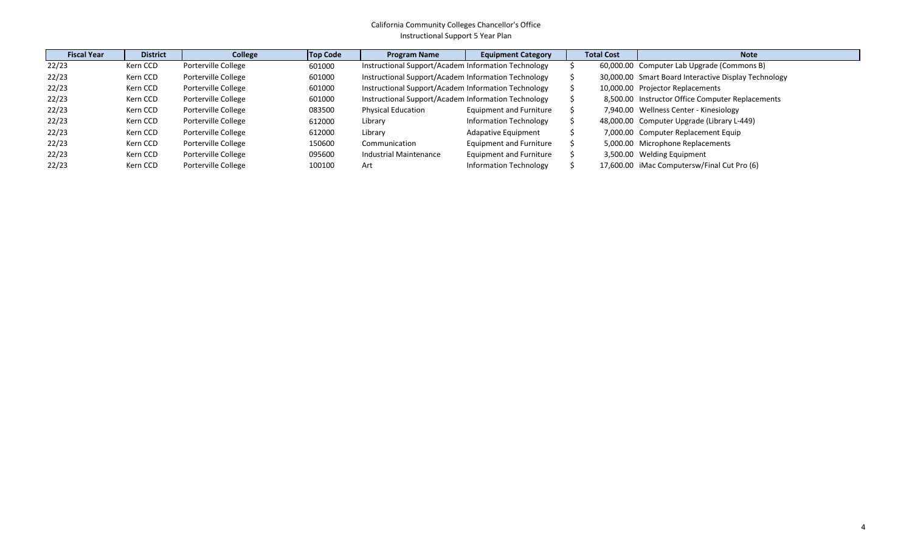| <b>Fiscal Year</b> | <b>District</b> | College             | <b>Top Code</b> | <b>Program Name</b>                                 | <b>Equipment Category</b>      | <b>Total Cost</b> | <b>Note</b>                                          |
|--------------------|-----------------|---------------------|-----------------|-----------------------------------------------------|--------------------------------|-------------------|------------------------------------------------------|
| 22/23              | Kern CCD        | Porterville College | 601000          | Instructional Support/Academ Information Technology |                                |                   | 60,000.00 Computer Lab Upgrade (Commons B)           |
| 22/23              | Kern CCD        | Porterville College | 601000          | Instructional Support/Academ Information Technology |                                |                   | 30,000.00 Smart Board Interactive Display Technology |
| 22/23              | Kern CCD        | Porterville College | 601000          | Instructional Support/Academ Information Technology |                                |                   | 10,000.00 Projector Replacements                     |
| 22/23              | Kern CCD        | Porterville College | 601000          | Instructional Support/Academ Information Technology |                                |                   | 8,500.00 Instructor Office Computer Replacements     |
| 22/23              | Kern CCD        | Porterville College | 083500          | <b>Physical Education</b>                           | <b>Equipment and Furniture</b> |                   | 7,940.00 Wellness Center - Kinesiology               |
| 22/23              | Kern CCD        | Porterville College | 612000          | Library                                             | Information Technology         |                   | 48,000.00 Computer Upgrade (Library L-449)           |
| 22/23              | Kern CCD        | Porterville College | 612000          | Library                                             | <b>Adapative Equipment</b>     |                   | 7,000.00 Computer Replacement Equip                  |
| 22/23              | Kern CCD        | Porterville College | 150600          | Communication                                       | Equipment and Furniture        |                   | 5,000.00 Microphone Replacements                     |
| 22/23              | Kern CCD        | Porterville College | 095600          | Industrial Maintenance                              | Equipment and Furniture        |                   | 3,500.00 Welding Equipment                           |
| 22/23              | Kern CCD        | Porterville College | 100100          | Art                                                 | <b>Information Technology</b>  |                   | 17,600.00 iMac Computersw/Final Cut Pro (6)          |